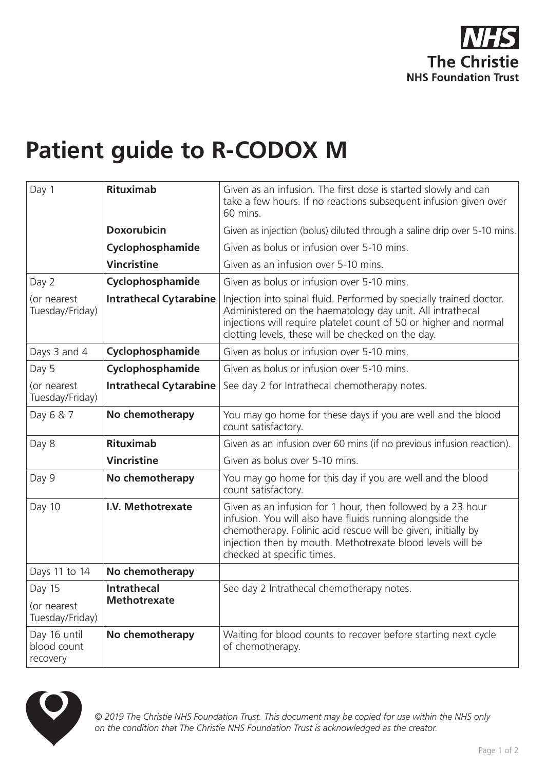

## **Patient guide to R-CODOX M**

| Day 1                                    | <b>Rituximab</b>                          | Given as an infusion. The first dose is started slowly and can<br>take a few hours. If no reactions subsequent infusion given over<br>60 mins.                                                                                                                                        |
|------------------------------------------|-------------------------------------------|---------------------------------------------------------------------------------------------------------------------------------------------------------------------------------------------------------------------------------------------------------------------------------------|
|                                          | <b>Doxorubicin</b>                        | Given as injection (bolus) diluted through a saline drip over 5-10 mins.                                                                                                                                                                                                              |
|                                          | Cyclophosphamide                          | Given as bolus or infusion over 5-10 mins.                                                                                                                                                                                                                                            |
|                                          | <b>Vincristine</b>                        | Given as an infusion over 5-10 mins.                                                                                                                                                                                                                                                  |
| Day 2                                    | Cyclophosphamide                          | Given as bolus or infusion over 5-10 mins.                                                                                                                                                                                                                                            |
| (or nearest<br>Tuesday/Friday)           | <b>Intrathecal Cytarabine</b>             | Injection into spinal fluid. Performed by specially trained doctor.<br>Administered on the haematology day unit. All intrathecal<br>injections will require platelet count of 50 or higher and normal<br>clotting levels, these will be checked on the day.                           |
| Days 3 and 4                             | Cyclophosphamide                          | Given as bolus or infusion over 5-10 mins.                                                                                                                                                                                                                                            |
| Day 5                                    | Cyclophosphamide                          | Given as bolus or infusion over 5-10 mins.                                                                                                                                                                                                                                            |
| (or nearest<br>Tuesday/Friday)           | <b>Intrathecal Cytarabine</b>             | See day 2 for Intrathecal chemotherapy notes.                                                                                                                                                                                                                                         |
| Day 6 & 7                                | No chemotherapy                           | You may go home for these days if you are well and the blood<br>count satisfactory.                                                                                                                                                                                                   |
| Day 8                                    | <b>Rituximab</b>                          | Given as an infusion over 60 mins (if no previous infusion reaction).                                                                                                                                                                                                                 |
|                                          | <b>Vincristine</b>                        | Given as bolus over 5-10 mins.                                                                                                                                                                                                                                                        |
| Day 9                                    | No chemotherapy                           | You may go home for this day if you are well and the blood<br>count satisfactory.                                                                                                                                                                                                     |
| Day 10                                   | I.V. Methotrexate                         | Given as an infusion for 1 hour, then followed by a 23 hour<br>infusion. You will also have fluids running alongside the<br>chemotherapy. Folinic acid rescue will be given, initially by<br>injection then by mouth. Methotrexate blood levels will be<br>checked at specific times. |
| Days 11 to 14                            | No chemotherapy                           |                                                                                                                                                                                                                                                                                       |
| Day 15<br>(or nearest<br>Tuesday/Friday) | <b>Intrathecal</b><br><b>Methotrexate</b> | See day 2 Intrathecal chemotherapy notes.                                                                                                                                                                                                                                             |
| Day 16 until<br>blood count<br>recovery  | No chemotherapy                           | Waiting for blood counts to recover before starting next cycle<br>of chemotherapy.                                                                                                                                                                                                    |



*© 2019 The Christie NHS Foundation Trust. This document may be copied for use within the NHS only on the condition that The Christie NHS Foundation Trust is acknowledged as the creator.*